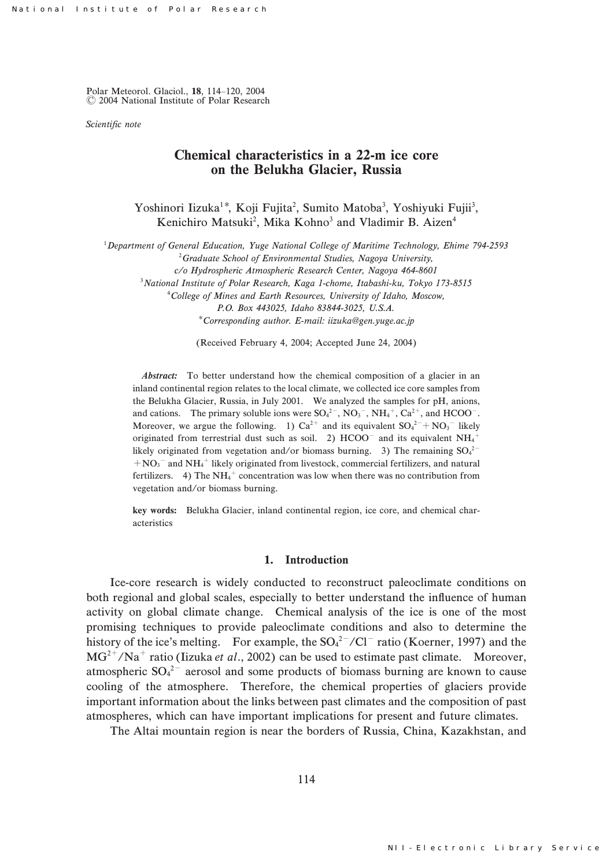Polar Meteorol. Glaciol., 18, 114-120, 2004 C 2004 National Institute of Polar Research

Scientific note

# Chemical characteristics in a 22-m ice core on the Belukha Glacier, Russia

Yoshinori Iizuka<sup>1\*</sup>, Koji Fujita<sup>2</sup>, Sumito Matoba<sup>3</sup>, Yoshiyuki Fujii<sup>3</sup>, Kenichiro Matsuki<sup>2</sup>, Mika Kohno<sup>3</sup> and Vladimir B. Aizen<sup>4</sup>

 $^{1}$ Department of General Education, Yuge National College of Maritime Technology, Ehime 794-2593

 $^{2}$ Graduate School of Environmental Studies, Nagoya University,

 $c$ /o Hydrospheric Atmospheric Research Center, Nagoya 464-8601

 $3$ National Institute of Polar Research, Kaga 1-chome, Itabashi-ku, Tokyo 173-8515

.College of Mines and Earth Resources, University of Idaho, Moscow, P.O. Box 443025, Idaho 83844-3025, U.S.A.

Corresponding author. E-mail: iizuka@gen.yuge.ac.jp

(Received February 4, 2004; Accepted June 24, 2004)

Abstract: To better understand how the chemical composition of a glacier in an inland continental region relates to the local climate, we collected ice core samples from the Belukha Glacier, Russia, in July 2001. We analyzed the samples for pH, anions, and cations. The primary soluble ions were  $SO_4^{2-}$ ,  $NO_3^-$ ,  $NH_4^+$ ,  $Ca^{2+}$ , and  $HCOO^-$ . Moreover, we argue the following. 1)  $Ca^{2+}$  and its equivalent  $SO_4^{2-} + NO_3^-$  likely originated from terrestrial dust such as soil. 2)  $HCOO<sup>-</sup>$  and its equivalent  $NH<sub>4</sub>$ <sup>+</sup> likely originated from vegetation and/or biomass burning. 3) The remaining  $SO_4^{2-}$  $+NO<sub>3</sub>$ <sup>-</sup> and NH<sub>4</sub><sup>+</sup> likely originated from livestock, commercial fertilizers, and natural fertilizers. 4) The  $NH_4^+$  concentration was low when there was no contribution from vegetation and/or biomass burning.

key words: Belukha Glacier, inland continental region, ice core, and chemical characteristics

#### 1. Introduction

Ice-core research is widely conducted to reconstruct paleoclimate conditions on both regional and global scales, especially to better understand the influence of human activity on global climate change. Chemical analysis of the ice is one of the most promising techniques to provide paleoclimate conditions and also to determine the history of the ice's melting. For example, the  $SO_4^{2-}/Cl^-$  ratio (Koerner, 1997) and the  $MG^{2+} / Na^{+}$  ratio (Iizuka et al., 2002) can be used to estimate past climate. Moreover, atmospheric  $SO_4^2$  aerosol and some products of biomass burning are known to cause cooling of the atmosphere. Therefore, the chemical properties of glaciers provide important information about the links between past climates and the composition of past atmospheres, which can have important implications for present and future climates.

The Altai mountain region is near the borders of Russia, China, Kazakhstan, and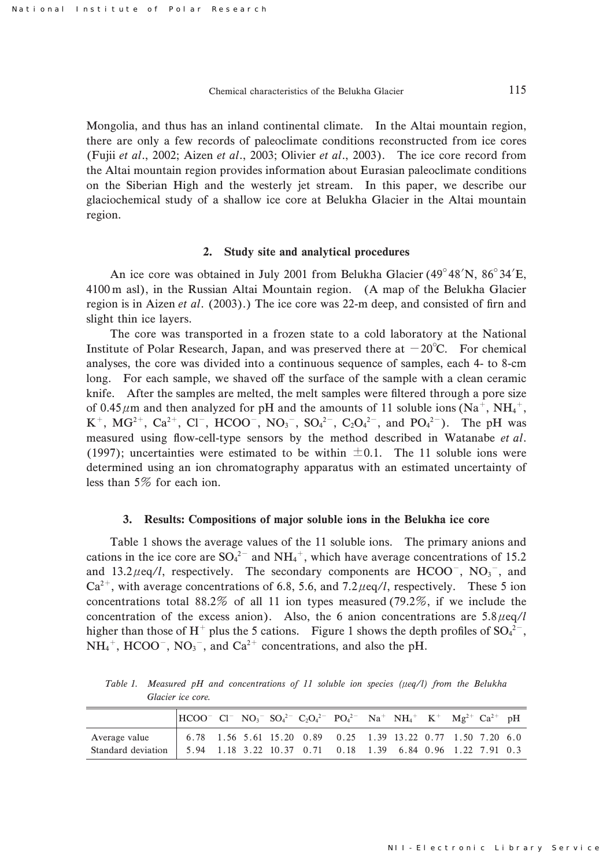Mongolia, and thus has an inland continental climate. In the Altai mountain region, there are only a few records of paleoclimate conditions reconstructed from ice cores (Fujii et al., 2002; Aizen et al., 2003; Olivier et al., 2003). The ice core record from the Altai mountain region provides information about Eurasian paleoclimate conditions on the Siberian High and the westerly jet stream. In this paper, we describe our glaciochemical study of a shallow ice core at Belukha Glacier in the Altai mountain region.

### 2. Study site and analytical procedures

An ice core was obtained in July 2001 from Belukha Glacier (49°48′N, 86°34′E, 4100 m asl), in the Russian Altai Mountain region. (A map of the Belukha Glacier region is in Aizen et al.  $(2003)$ .) The ice core was 22-m deep, and consisted of firn and slight thin ice layers.

The core was transported in a frozen state to a cold laboratory at the National Institute of Polar Research, Japan, and was preserved there at  $-20^{\circ}$ C. For chemical analyses, the core was divided into a continuous sequence of samples, each 4- to 8-cm long. For each sample, we shaved off the surface of the sample with a clean ceramic knife. After the samples are melted, the melt samples were filtered through a pore size of 0.45  $\mu$ m and then analyzed for pH and the amounts of 11 soluble ions (Na<sup>+</sup>, NH<sub>4</sub><sup>+</sup>,  $K^+$ , MG<sup>2+</sup>, Ca<sup>2+</sup>, Cl<sup>-</sup>, HCOO<sup>-</sup>, NO<sub>3</sub><sup>-</sup>, SO<sub>4</sub><sup>2-</sup>, C<sub>2</sub>O<sub>4</sub><sup>2-</sup>, and PO<sub>4</sub><sup>2-</sup>). The pH was measured using flow-cell-type sensors by the method described in Watanabe et al. (1997); uncertainties were estimated to be within  $\pm 0.1$ . The 11 soluble ions were determined using an ion chromatography apparatus with an estimated uncertainty of less than  $5\%$  for each ion.

#### 3. Results: Compositions of major soluble ions in the Belukha ice core

Table 1 shows the average values of the 11 soluble ions. The primary anions and cations in the ice core are  $SO_4^2$  and  $NH_4^+$ , which have average concentrations of 15.2 and  $13.2 \mu$ eq/l, respectively. The secondary components are  $HCOO^-$ ,  $NO_3^-$ , and  $Ca^{2+}$ , with average concentrations of 6.8, 5.6, and 7.2  $\mu$ eq/l, respectively. These 5 ion concentrations total 88.2% of all 11 ion types measured (79.2%, if we include the concentration of the excess anion). Also, the 6 anion concentrations are  $5.8 \mu$ eq/l higher than those of H<sup>+</sup> plus the 5 cations. Figure 1 shows the depth profiles of  $SO_4^2$ <sup>-</sup>,  $NH_4^+$ , HCOO<sup>-</sup>, NO<sub>3</sub><sup>-</sup>, and Ca<sup>2+</sup> concentrations, and also the pH.

Table 1. Measured pH and concentrations of 11 soluble ion species ( $\mu$ eq/l) from the Belukha Glacier ice core.

|                                     | $ HCOO^-$ Cl <sup>-</sup> NO <sub>3</sub> <sup>-</sup> SO <sub>4</sub> <sup>2-</sup> C <sub>2</sub> O <sub>4</sub> <sup>2-</sup> PO <sub>4</sub> <sup>2-</sup> Na <sup>+</sup> NH <sub>4</sub> <sup>+</sup> K <sup>+</sup> Mg <sup>2+</sup> Ca <sup>2+</sup> pH |  |  |  |  |  |  |
|-------------------------------------|-----------------------------------------------------------------------------------------------------------------------------------------------------------------------------------------------------------------------------------------------------------------|--|--|--|--|--|--|
| Average value<br>Standard deviation | 6.78 1.56 5.61 15.20 0.89 0.25 1.39 13.22 0.77 1.50 7.20 6.0<br>$\vert$ 5.94 1.18 3.22 10.37 0.71 0.18 1.39 6.84 0.96 1.22 7.91 0.3                                                                                                                             |  |  |  |  |  |  |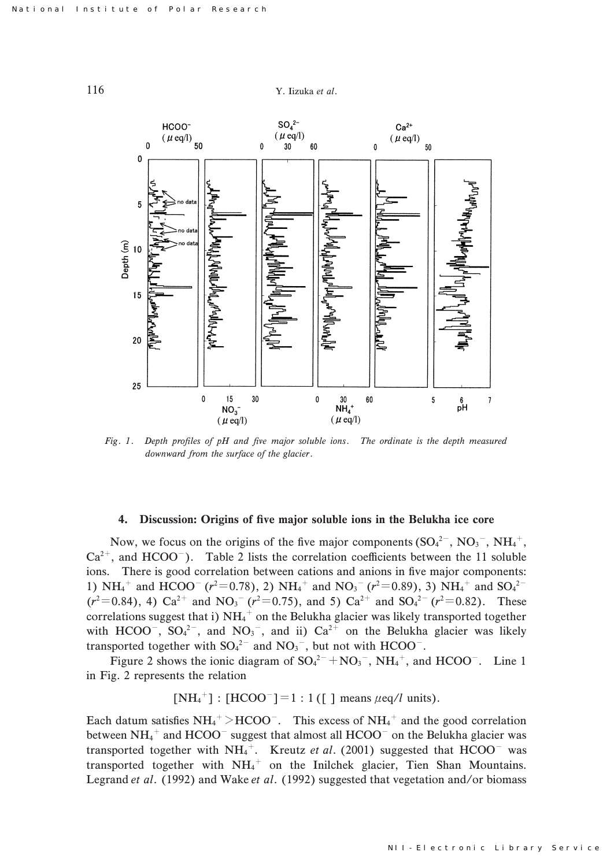



Fig. 1. Depth profiles of pH and five major soluble ions. The ordinate is the depth measured downward from the surface of the glacier.

#### .. Discussion: Origins of five major soluble ions in the Belukha ice core

Now, we focus on the origins of the five major components  $(SO<sub>4</sub><sup>2-</sup>, NO<sub>3</sub><sup>-</sup>, NH<sub>4</sub><sup>+</sup>,$  $Ca^{2+}$ , and HCOO<sup>-</sup>). Table 2 lists the correlation coefficients between the 11 soluble ions. There is good correlation between cations and anions in five major components: 1) NH<sub>4</sub><sup>+</sup> and HCOO<sup>-</sup> ( $r^2$ =0.78), 2) NH<sub>4</sub><sup>+</sup> and NO<sub>3</sub><sup>-</sup> ( $r^2$ =0.89), 3) NH<sub>4</sub><sup>+</sup> and SO<sub>4</sub><sup>2</sup><sup>-</sup>  $(r^2=0.84)$ , 4)  $Ca^{2+}$  and  $NO_3^ (r^2=0.75)$ , and 5)  $Ca^{2+}$  and  $SO_4^{2-}$   $(r^2=0.82)$ . These correlations suggest that i)  $NH_4^+$  on the Belukha glacier was likely transported together with HCOO<sup>-</sup>, SO<sub>4</sub><sup>2-</sup>, and NO<sub>3</sub><sup>-</sup>, and ii) Ca<sup>2+</sup> on the Belukha glacier was likely transported together with  $SO_4^2$  and  $NO_3$ , but not with HCOO<sup>-</sup>.

Figure 2 shows the ionic diagram of  $SO_4^{2-} + NO_3^-$ ,  $NH_4^+$ , and  $HCOO^-$ . Line 1 in Fig. 2 represents the relation

 $[NH_4^+] : [HCOO^-] = 1 : 1 ([]]$  means  $\mu$ eq/l units).

Each datum satisfies  $NH_4^+ > HCOO^-$ . This excess of  $NH_4^+$  and the good correlation between NH<sub>4</sub><sup>+</sup> and HCOO<sup>-</sup> suggest that almost all HCOO<sup>-</sup> on the Belukha glacier was transported together with NH<sub>4</sub><sup>+</sup>. Kreutz et al. (2001) suggested that HCOO<sup>-</sup> was transported together with NH<sub>4</sub><sup>+</sup> on the Inilchek glacier, Tien Shan Mountains. Legrand et al. (1992) and Wake et al. (1992) suggested that vegetation and/or biomass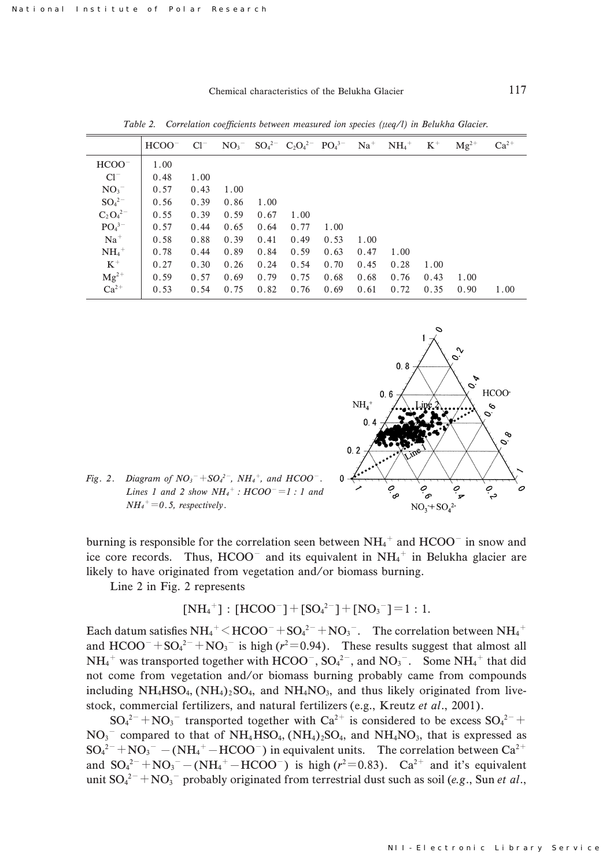$Cl^{-}$  $NO_3$ <sup>-</sup>  $SO_4^2$ <sup>-</sup>  $C_2O_4^{2-}$  $PO_4^{3-}$  $Na<sup>+</sup>$  $NH_4^+$  $K^+$  $Mg^{2+}$  $Ca<sup>2</sup>$ 

0.27 0.59  $0.53$ 

 $0.30$  $0.57$ 0.54

 $0.26$ 0.69 0.75

 $0.24$ 0.79 0.82

 $0.54$  $0.75$ 0.76

|                               | $HCOO^ Cl^ NO_3^ SO_4^{2-}$ $C_2O_4^{2-}$ $PO_4^{3-}$ $Na^+$ $NH_4^+$ $K^+$ |      |             |      |                                           |      |      |      | $\mathbf{M} \mathfrak{g}^{2+}$ | $Ca^{2+}$ |
|-------------------------------|-----------------------------------------------------------------------------|------|-------------|------|-------------------------------------------|------|------|------|--------------------------------|-----------|
| $HCOO^-$                      | 1.00                                                                        |      |             |      |                                           |      |      |      |                                |           |
| $Cl^-$                        | 0.48                                                                        | 1.00 |             |      |                                           |      |      |      |                                |           |
| NO <sub>3</sub>               | $\vert 0.57 \vert$                                                          | 0.43 | 1.00        |      |                                           |      |      |      |                                |           |
| $\mathrm{SO_4}^{2-}$          | 0.56                                                                        | 0.39 | 0.86        | 1.00 |                                           |      |      |      |                                |           |
| $C_2O_4^{2-}$                 | 0.55                                                                        | 0.39 | 0.59        | 0.67 | 1.00                                      |      |      |      |                                |           |
| PO <sub>4</sub> <sup>3–</sup> | 0.57                                                                        | 0.44 | $0.65$ 0.64 |      | 0.77                                      | 1.00 |      |      |                                |           |
| $Na+$                         | 0.58                                                                        | 0.88 | 0.39        | 0.41 | 0.49                                      | 0.53 | 1.00 |      |                                |           |
| $NH4$ <sup>+</sup>            | 0.78                                                                        |      |             |      | $0.44$ $0.89$ $0.84$ $0.59$ $0.63$ $0.47$ |      |      | 1.00 |                                |           |

 $0.70$ 0.68 0.69  $0.45$ 0.68 0.61

 $0.28$ 0.76 0.72

Table 2. Correlation coefficients between measured ion species ( $\mu$ eq/l) in Belukha Glacier.



1.00  $0.43$  $0.35$ 

1.00  $0.90 \quad 1.00$ 

Fig. 2. Diagram of  $NO_3^- + SO_4^{2-}$ ,  $NH_4^+$ , and  $HCOO^-$ . Lines 1 and 2 show  $NH_4^+$ :  $HCOO^- = 1:1$  and  $NH_4^+=0.5$ , respectively.

burning is responsible for the correlation seen between  $NH_4^+$  and  $HCOO^-$  in snow and ice core records. Thus,  $HCOO<sup>-</sup>$  and its equivalent in  $NH<sub>4</sub><sup>+</sup>$  in Belukha glacier are likely to have originated from vegetation and/or biomass burning.

Line  $2$  in Fig.  $2$  represents

$$
[NH_4^+]: [HCOO^-] + [SO_4^{2-}] + [NO_3^-] = 1:1.
$$

Each datum satisfies  $NH_4^+$   $\leq$  HCOO<sup>-</sup> + SO<sub>4</sub><sup>2-</sup> + NO<sub>3</sub><sup>-</sup>. The correlation between NH<sub>4</sub><sup>+</sup> and  $HCOO^{-} + SO_4^{2-} + NO_3^{-}$  is high ( $r^2 = 0.94$ ). These results suggest that almost all  $NH_4^+$  was transported together with HCOO<sup>-</sup>,  $SO_4^{2-}$ , and  $NO_3^-$ . Some  $NH_4^+$  that did not come from vegetation and/or biomass burning probably came from compounds including  $NH_4HSO_4$ ,  $(NH_4)_2SO_4$ , and  $NH_4NO_3$ , and thus likely originated from livestock, commercial fertilizers, and natural fertilizers (e.g., Kreutz et al., 2001).

 $SO_4^{2-} + NO_3^-$  transported together with  $Ca^{2+}$  is considered to be excess  $SO_4^{2-}$  +  $NO<sub>3</sub><sup>-</sup>$  compared to that of NH<sub>4</sub>HSO<sub>4</sub>, (NH<sub>4</sub>)<sub>2</sub>SO<sub>4</sub>, and NH<sub>4</sub>NO<sub>3</sub>, that is expressed as  $SO_4^{2-} + NO_3^- - (NH_4^+ - HCOO^-)$  in equivalent units. The correlation between  $Ca^{2+}$ and  $SO_4^{2-} + NO_3^- - (NH_4^+ - HCOO^-)$  is high ( $r^2 = 0.83$ ).  $Ca^{2+}$  and it's equivalent unit  $SO_4^{2-} + NO_3^-$  probably originated from terrestrial dust such as soil (e.g., Sun et al.,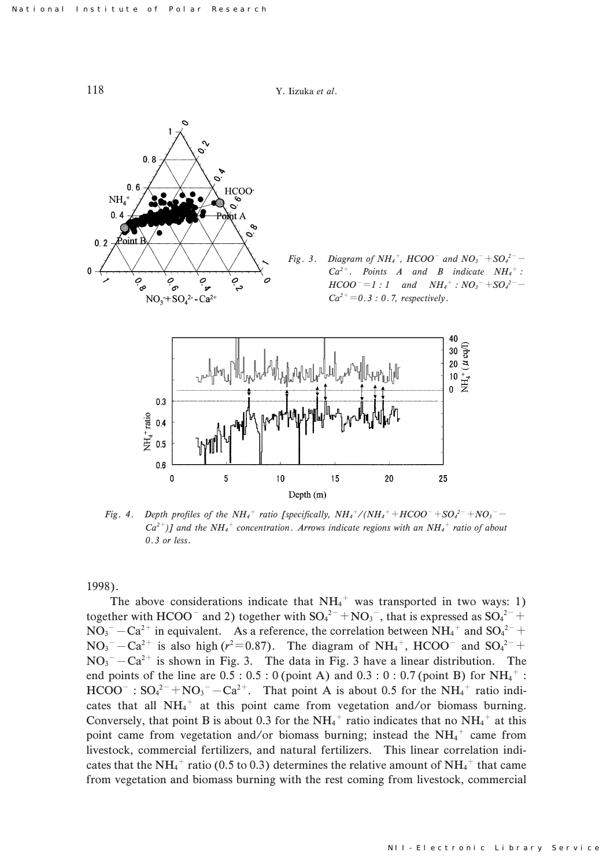118 Y. Iizuka et al.



Fig. 4. Depth profiles of the NH<sub>4</sub><sup>+</sup> ratio [specifically,  $NH_4^+/(NH_4^+ + HCOO^- + SO_4^{2-} + NO_3^ Ca^{2+}$ )] and the NH<sub>4</sub><sup>+</sup> concentration. Arrows indicate regions with an NH<sub>4</sub><sup>+</sup> ratio of about  $0.3$  or less.

1998).

The above considerations indicate that  $NH_4^+$  was transported in two ways: 1) together with HCOO<sup>-</sup> and 2) together with  $SO_4^2$ <sup>-</sup> + NO<sub>3</sub><sup>-</sup>, that is expressed as  $SO_4^2$ <sup>-</sup> +  $NO_3^-$  –  $Ca^{2+}$  in equivalent. As a reference, the correlation between  $NH_4^+$  and  $SO_4^{2-}$  +  $NO_3^- - Ca^{2+}$  is also high ( $r^2 = 0.87$ ). The diagram of  $NH_4^+$ , HCOO<sup>-</sup> and  $SO_4^{2-}$  +  $NO_3^-$  -  $Ca^{2+}$  is shown in Fig. 3. The data in Fig. 3 have a linear distribution. The end points of the line are  $0.5 : 0.5 : 0$  (point A) and  $0.3 : 0 : 0.7$  (point B) for NH<sub>4</sub><sup>+</sup>:  $HCOO^{-}$ :  $SO_4^{2-}+NO_3^- - Ca^{2+}$ . That point A is about 0.5 for the NH<sub>4</sub><sup>+</sup> ratio indicates that all  $NH_4^+$  at this point came from vegetation and/or biomass burning. Conversely, that point B is about 0.3 for the NH<sub>4</sub><sup>+</sup> ratio indicates that no NH<sub>4</sub><sup>+</sup> at this point came from vegetation and/or biomass burning; instead the  $NH<sub>4</sub>$ <sup>+</sup> came from livestock, commercial fertilizers, and natural fertilizers. This linear correlation indicates that the NH<sub>4</sub><sup>+</sup> ratio (0.5 to 0.3) determines the relative amount of NH<sub>4</sub><sup>+</sup> that came from vegetation and biomass burning with the rest coming from livestock, commercial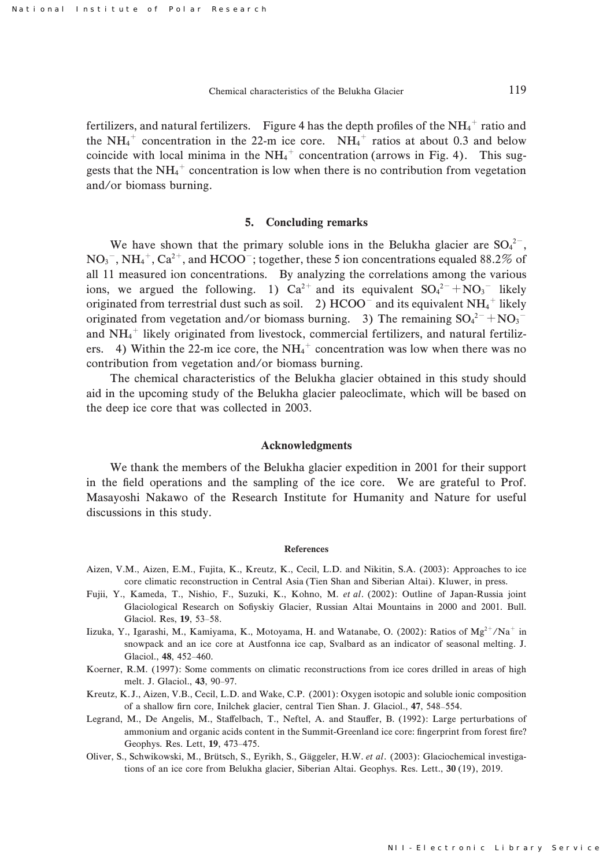fertilizers, and natural fertilizers. Figure 4 has the depth profiles of the  $NH_4^+$  ratio and the NH<sub>4</sub><sup>+</sup> concentration in the 22-m ice core. NH<sub>4</sub><sup>+</sup> ratios at about 0.3 and below coincide with local minima in the  $NH_4^+$  concentration (arrows in Fig. 4). This suggests that the  $NH_4^+$  concentration is low when there is no contribution from vegetation and/or biomass burning.

## 5. Concluding remarks

We have shown that the primary soluble ions in the Belukha glacier are  $SO_4^2$ ,  $NO<sub>3</sub><sup>-</sup>, NH<sub>4</sub><sup>+</sup>, Ca<sup>2+</sup>, and HCOO<sup>-</sup>; together, these 5 ion concentrations equaled 88.2% of$ all 11 measured ion concentrations. By analyzing the correlations among the various ions, we argued the following. 1)  $Ca^{2+}$  and its equivalent  $SO_4^{2-} + NO_3^{-}$  likely originated from terrestrial dust such as soil.  $\,$  2) HCOO $^{-}$  and its equivalent NH<sub>4</sub><sup>+</sup> likely originated from vegetation and/or biomass burning. 3) The remaining  $SO_4^{2-} + NO_3^{-}$ and  $NH_4^+$  likely originated from livestock, commercial fertilizers, and natural fertilizers. 4) Within the 22-m ice core, the NH<sub>4</sub><sup>+</sup> concentration was low when there was no contribution from vegetation and/or biomass burning.

The chemical characteristics of the Belukha glacier obtained in this study should aid in the upcoming study of the Belukha glacier paleoclimate, which will be based on the deep ice core that was collected in 2003.

#### Acknowledgments

We thank the members of the Belukha glacier expedition in 2001 for their support in the field operations and the sampling of the ice core. We are grateful to Prof. Masayoshi Nakawo of the Research Institute for Humanity and Nature for useful discussions in this study.

#### References

- Aizen, V.M., Aizen, E.M., Fujita, K., Kreutz, K., Cecil, L.D. and Nikitin, S.A. (2003): Approaches to ice core climatic reconstruction in Central Asia (Tien Shan and Siberian Altai). Kluwer, in press.
- Fujii, Y., Kameda, T., Nishio, F., Suzuki, K., Kohno, M. et al. (2002): Outline of Japan-Russia joint Glaciological Research on Sofiyskiy Glacier, Russian Altai Mountains in 2000 and 2001. Bull. Glaciol. Res, 19, 53-58.
- Iizuka, Y., Igarashi, M., Kamiyama, K., Motoyama, H. and Watanabe, O. (2002): Ratios of  $Mg^{2+}/Na^{+}$  in snowpack and an ice core at Austfonna ice cap, Svalbard as an indicator of seasonal melting. J. Glaciol., 48, 452-460.
- Koerner, R.M. (1997): Some comments on climatic reconstructions from ice cores drilled in areas of high melt. J. Glaciol., 43, 90-97.
- Kreutz, K. J., Aizen, V.B., Cecil, L.D. and Wake, C.P. (2001): Oxygen isotopic and soluble ionic composition of a shallow firn core, Inilchek glacier, central Tien Shan. J. Glaciol., 47, 548–554.
- Legrand, M., De Angelis, M., Staffelbach, T., Neftel, A. and Stauffer, B. (1992): Large perturbations of ammonium and organic acids content in the Summit-Greenland ice core: fingerprint from forest fire? Geophys. Res. Lett, 19, 473-475.
- Oliver, S., Schwikowski, M., Brütsch, S., Eyrikh, S., Gäggeler, H.W. et al. (2003): Glaciochemical investigations of an ice core from Belukha glacier, Siberian Altai. Geophys. Res. Lett., 30 (19), 2019.